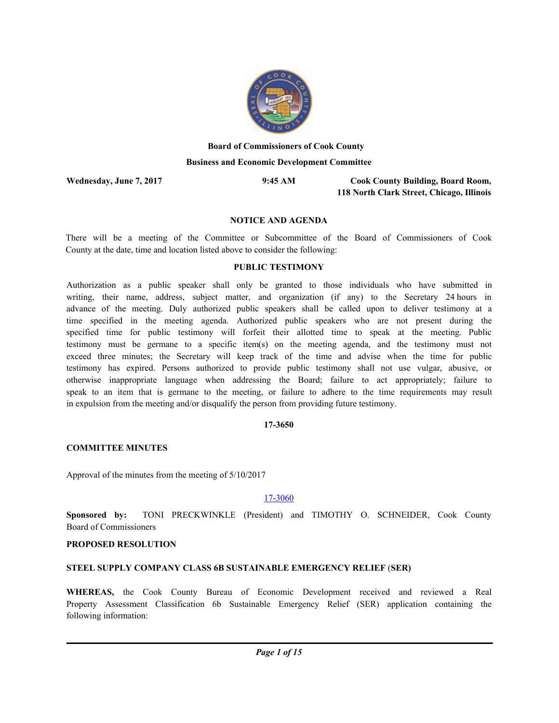

# **Board of Commissioners of Cook County Business and Economic Development Committee**

**Wednesday, June 7, 2017 9:45 AM**

**Cook County Building, Board Room, 118 North Clark Street, Chicago, Illinois**

# **NOTICE AND AGENDA**

There will be a meeting of the Committee or Subcommittee of the Board of Commissioners of Cook County at the date, time and location listed above to consider the following:

### **PUBLIC TESTIMONY**

Authorization as a public speaker shall only be granted to those individuals who have submitted in writing, their name, address, subject matter, and organization (if any) to the Secretary 24 hours in advance of the meeting. Duly authorized public speakers shall be called upon to deliver testimony at a time specified in the meeting agenda. Authorized public speakers who are not present during the specified time for public testimony will forfeit their allotted time to speak at the meeting. Public testimony must be germane to a specific item(s) on the meeting agenda, and the testimony must not exceed three minutes; the Secretary will keep track of the time and advise when the time for public testimony has expired. Persons authorized to provide public testimony shall not use vulgar, abusive, or otherwise inappropriate language when addressing the Board; failure to act appropriately; failure to speak to an item that is germane to the meeting, or failure to adhere to the time requirements may result in expulsion from the meeting and/or disqualify the person from providing future testimony.

### **17-3650**

### **COMMITTEE MINUTES**

Approval of the minutes from the meeting of 5/10/2017

### 17-3060

**Sponsored by:** TONI PRECKWINKLE (President) and TIMOTHY O. SCHNEIDER, Cook County Board of Commissioners

### **PROPOSED RESOLUTION**

### **STEEL SUPPLY COMPANY CLASS 6B SUSTAINABLE EMERGENCY RELIEF** (**SER)**

**WHEREAS,** the Cook County Bureau of Economic Development received and reviewed a Real Property Assessment Classification 6b Sustainable Emergency Relief (SER) application containing the following information: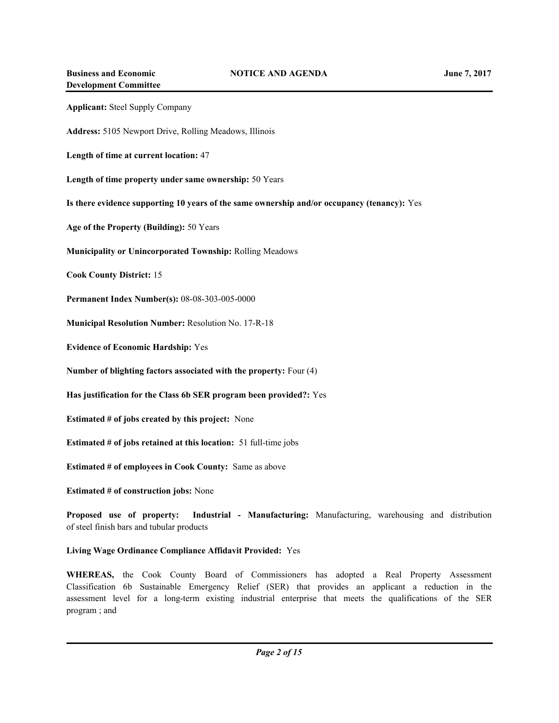| <b>Applicant:</b> Steel Supply Company                                                      |
|---------------------------------------------------------------------------------------------|
| Address: 5105 Newport Drive, Rolling Meadows, Illinois                                      |
| Length of time at current location: 47                                                      |
| Length of time property under same ownership: 50 Years                                      |
| Is there evidence supporting 10 years of the same ownership and/or occupancy (tenancy): Yes |
| Age of the Property (Building): 50 Years                                                    |
| <b>Municipality or Unincorporated Township: Rolling Meadows</b>                             |
| <b>Cook County District: 15</b>                                                             |
| Permanent Index Number(s): 08-08-303-005-0000                                               |
| Municipal Resolution Number: Resolution No. 17-R-18                                         |
| <b>Evidence of Economic Hardship: Yes</b>                                                   |
| Number of blighting factors associated with the property: Four (4)                          |
| Has justification for the Class 6b SER program been provided?: Yes                          |
| <b>Estimated # of jobs created by this project:</b> None                                    |
| <b>Estimated # of jobs retained at this location:</b> 51 full-time jobs                     |
| <b>Estimated # of employees in Cook County:</b> Same as above                               |
| <b>Estimated # of construction jobs:</b> None                                               |

**Proposed use of property: Industrial - Manufacturing:** Manufacturing, warehousing and distribution of steel finish bars and tubular products

# **Living Wage Ordinance Compliance Affidavit Provided:** Yes

**WHEREAS,** the Cook County Board of Commissioners has adopted a Real Property Assessment Classification 6b Sustainable Emergency Relief (SER) that provides an applicant a reduction in the assessment level for a long-term existing industrial enterprise that meets the qualifications of the SER program ; and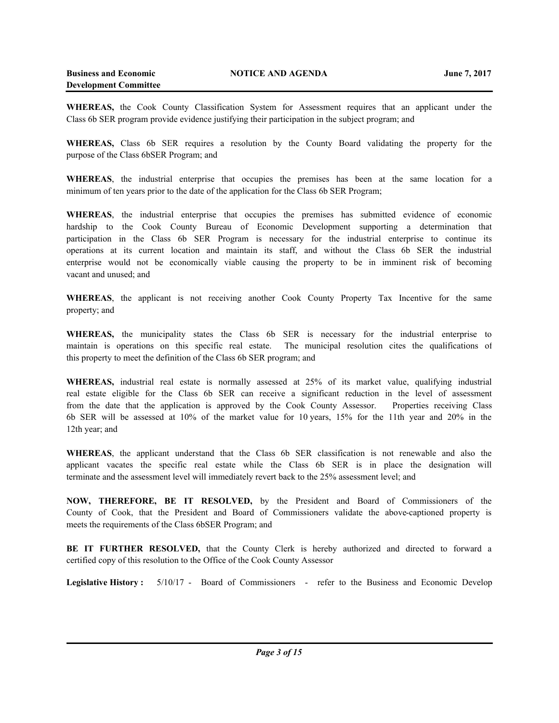**WHEREAS,** the Cook County Classification System for Assessment requires that an applicant under the Class 6b SER program provide evidence justifying their participation in the subject program; and

**WHEREAS,** Class 6b SER requires a resolution by the County Board validating the property for the purpose of the Class 6bSER Program; and

**WHEREAS**, the industrial enterprise that occupies the premises has been at the same location for a minimum of ten years prior to the date of the application for the Class 6b SER Program;

**WHEREAS**, the industrial enterprise that occupies the premises has submitted evidence of economic hardship to the Cook County Bureau of Economic Development supporting a determination that participation in the Class 6b SER Program is necessary for the industrial enterprise to continue its operations at its current location and maintain its staff, and without the Class 6b SER the industrial enterprise would not be economically viable causing the property to be in imminent risk of becoming vacant and unused; and

**WHEREAS**, the applicant is not receiving another Cook County Property Tax Incentive for the same property; and

**WHEREAS,** the municipality states the Class 6b SER is necessary for the industrial enterprise to maintain is operations on this specific real estate. The municipal resolution cites the qualifications of this property to meet the definition of the Class 6b SER program; and

**WHEREAS,** industrial real estate is normally assessed at 25% of its market value, qualifying industrial real estate eligible for the Class 6b SER can receive a significant reduction in the level of assessment from the date that the application is approved by the Cook County Assessor. Properties receiving Class 6b SER will be assessed at 10% of the market value for 10 years, 15% for the 11th year and 20% in the 12th year; and

**WHEREAS**, the applicant understand that the Class 6b SER classification is not renewable and also the applicant vacates the specific real estate while the Class 6b SER is in place the designation will terminate and the assessment level will immediately revert back to the 25% assessment level; and

**NOW, THEREFORE, BE IT RESOLVED,** by the President and Board of Commissioners of the County of Cook, that the President and Board of Commissioners validate the above-captioned property is meets the requirements of the Class 6bSER Program; and

**BE IT FURTHER RESOLVED,** that the County Clerk is hereby authorized and directed to forward a certified copy of this resolution to the Office of the Cook County Assessor

**Legislative History :** 5/10/17 - Board of Commissioners - refer to the Business and Economic Develop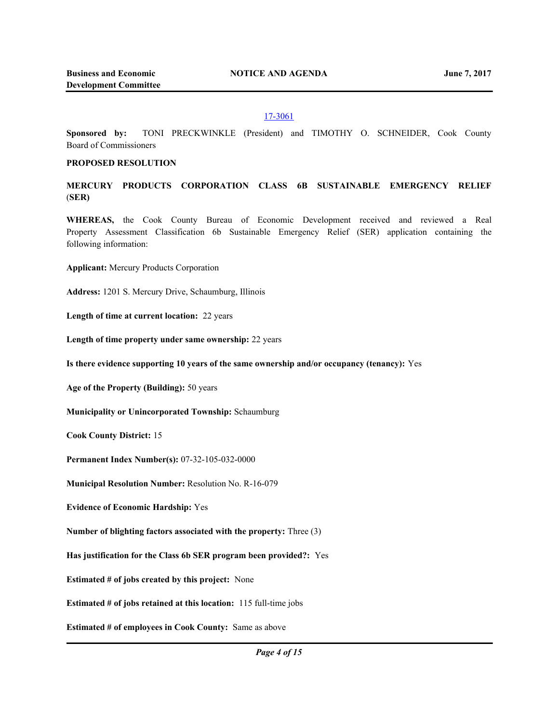#### 17-3061

**Sponsored by:** TONI PRECKWINKLE (President) and TIMOTHY O. SCHNEIDER, Cook County Board of Commissioners

#### **PROPOSED RESOLUTION**

**MERCURY PRODUCTS CORPORATION CLASS 6B SUSTAINABLE EMERGENCY RELIEF** (**SER)** 

**WHEREAS,** the Cook County Bureau of Economic Development received and reviewed a Real Property Assessment Classification 6b Sustainable Emergency Relief (SER) application containing the following information:

**Applicant:** Mercury Products Corporation

**Address:** 1201 S. Mercury Drive, Schaumburg, Illinois

**Length of time at current location:** 22 years

Length of time property under same ownership: 22 years

**Is there evidence supporting 10 years of the same ownership and/or occupancy (tenancy):** Yes

**Age of the Property (Building):** 50 years

**Municipality or Unincorporated Township:** Schaumburg

**Cook County District:** 15

**Permanent Index Number(s):** 07-32-105-032-0000

**Municipal Resolution Number:** Resolution No. R-16-079

**Evidence of Economic Hardship:** Yes

**Number of blighting factors associated with the property:** Three (3)

**Has justification for the Class 6b SER program been provided?:** Yes

**Estimated # of jobs created by this project:** None

**Estimated # of jobs retained at this location:** 115 full-time jobs

**Estimated # of employees in Cook County:** Same as above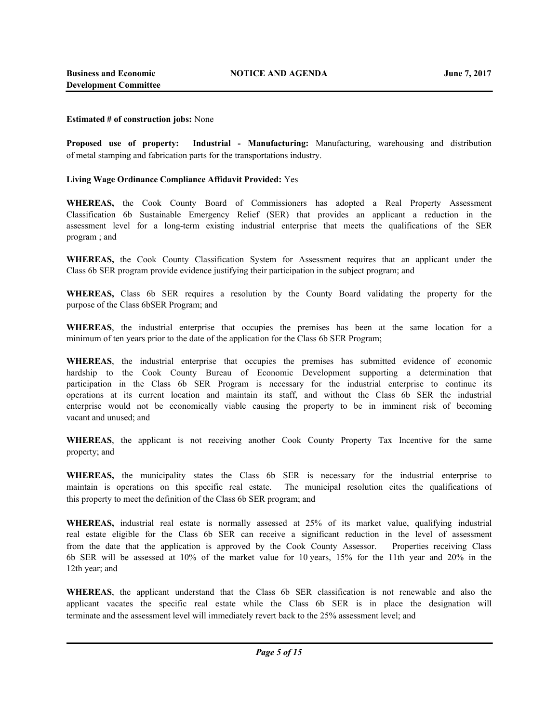#### **Estimated # of construction jobs:** None

**Proposed use of property: Industrial - Manufacturing:** Manufacturing, warehousing and distribution of metal stamping and fabrication parts for the transportations industry.

#### **Living Wage Ordinance Compliance Affidavit Provided:** Yes

**WHEREAS,** the Cook County Board of Commissioners has adopted a Real Property Assessment Classification 6b Sustainable Emergency Relief (SER) that provides an applicant a reduction in the assessment level for a long-term existing industrial enterprise that meets the qualifications of the SER program ; and

**WHEREAS,** the Cook County Classification System for Assessment requires that an applicant under the Class 6b SER program provide evidence justifying their participation in the subject program; and

**WHEREAS,** Class 6b SER requires a resolution by the County Board validating the property for the purpose of the Class 6bSER Program; and

**WHEREAS**, the industrial enterprise that occupies the premises has been at the same location for a minimum of ten years prior to the date of the application for the Class 6b SER Program;

**WHEREAS**, the industrial enterprise that occupies the premises has submitted evidence of economic hardship to the Cook County Bureau of Economic Development supporting a determination that participation in the Class 6b SER Program is necessary for the industrial enterprise to continue its operations at its current location and maintain its staff, and without the Class 6b SER the industrial enterprise would not be economically viable causing the property to be in imminent risk of becoming vacant and unused; and

**WHEREAS**, the applicant is not receiving another Cook County Property Tax Incentive for the same property; and

**WHEREAS,** the municipality states the Class 6b SER is necessary for the industrial enterprise to maintain is operations on this specific real estate. The municipal resolution cites the qualifications of this property to meet the definition of the Class 6b SER program; and

**WHEREAS,** industrial real estate is normally assessed at 25% of its market value, qualifying industrial real estate eligible for the Class 6b SER can receive a significant reduction in the level of assessment from the date that the application is approved by the Cook County Assessor. Properties receiving Class 6b SER will be assessed at 10% of the market value for 10 years, 15% for the 11th year and 20% in the 12th year; and

**WHEREAS**, the applicant understand that the Class 6b SER classification is not renewable and also the applicant vacates the specific real estate while the Class 6b SER is in place the designation will terminate and the assessment level will immediately revert back to the 25% assessment level; and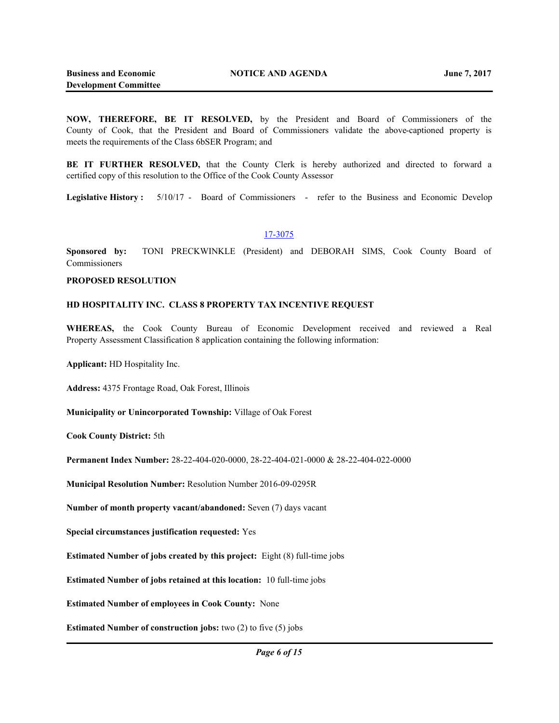**NOW, THEREFORE, BE IT RESOLVED,** by the President and Board of Commissioners of the County of Cook, that the President and Board of Commissioners validate the above-captioned property is meets the requirements of the Class 6bSER Program; and

**BE IT FURTHER RESOLVED,** that the County Clerk is hereby authorized and directed to forward a certified copy of this resolution to the Office of the Cook County Assessor

**Legislative History :** 5/10/17 - Board of Commissioners - refer to the Business and Economic Develop

#### 17-3075

**Sponsored by:** TONI PRECKWINKLE (President) and DEBORAH SIMS, Cook County Board of **Commissioners** 

#### **PROPOSED RESOLUTION**

#### **HD HOSPITALITY INC. CLASS 8 PROPERTY TAX INCENTIVE REQUEST**

**WHEREAS,** the Cook County Bureau of Economic Development received and reviewed a Real Property Assessment Classification 8 application containing the following information:

**Applicant:** HD Hospitality Inc.

**Address:** 4375 Frontage Road, Oak Forest, Illinois

**Municipality or Unincorporated Township:** Village of Oak Forest

**Cook County District:** 5th

**Permanent Index Number:** 28-22-404-020-0000, 28-22-404-021-0000 & 28-22-404-022-0000

**Municipal Resolution Number:** Resolution Number 2016-09-0295R

**Number of month property vacant/abandoned:** Seven (7) days vacant

**Special circumstances justification requested:** Yes

**Estimated Number of jobs created by this project:** Eight (8) full-time jobs

**Estimated Number of jobs retained at this location:** 10 full-time jobs

**Estimated Number of employees in Cook County:** None

**Estimated Number of construction jobs:** two (2) to five (5) jobs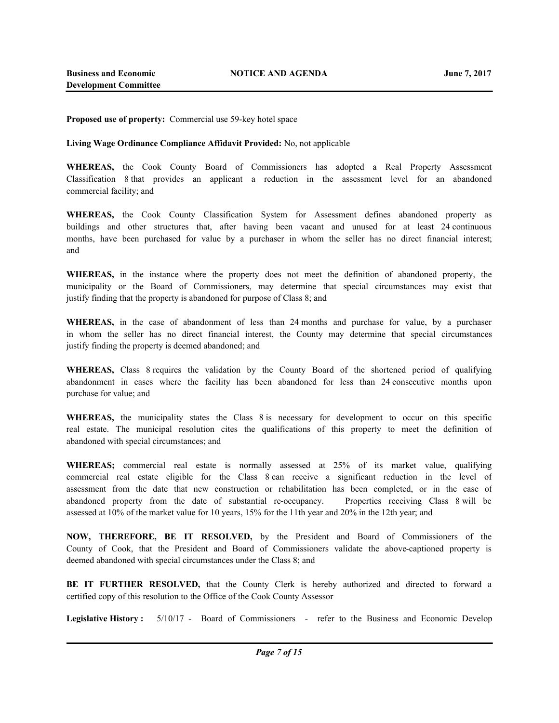**Proposed use of property:** Commercial use 59-key hotel space

**Living Wage Ordinance Compliance Affidavit Provided:** No, not applicable

**WHEREAS,** the Cook County Board of Commissioners has adopted a Real Property Assessment Classification 8 that provides an applicant a reduction in the assessment level for an abandoned commercial facility; and

**WHEREAS,** the Cook County Classification System for Assessment defines abandoned property as buildings and other structures that, after having been vacant and unused for at least 24 continuous months, have been purchased for value by a purchaser in whom the seller has no direct financial interest; and

**WHEREAS,** in the instance where the property does not meet the definition of abandoned property, the municipality or the Board of Commissioners, may determine that special circumstances may exist that justify finding that the property is abandoned for purpose of Class 8; and

**WHEREAS,** in the case of abandonment of less than 24 months and purchase for value, by a purchaser in whom the seller has no direct financial interest, the County may determine that special circumstances justify finding the property is deemed abandoned; and

**WHEREAS,** Class 8 requires the validation by the County Board of the shortened period of qualifying abandonment in cases where the facility has been abandoned for less than 24 consecutive months upon purchase for value; and

**WHEREAS,** the municipality states the Class 8 is necessary for development to occur on this specific real estate. The municipal resolution cites the qualifications of this property to meet the definition of abandoned with special circumstances; and

**WHEREAS;** commercial real estate is normally assessed at 25% of its market value, qualifying commercial real estate eligible for the Class 8 can receive a significant reduction in the level of assessment from the date that new construction or rehabilitation has been completed, or in the case of abandoned property from the date of substantial re-occupancy. Properties receiving Class 8 will be assessed at 10% of the market value for 10 years, 15% for the 11th year and 20% in the 12th year; and

**NOW, THEREFORE, BE IT RESOLVED,** by the President and Board of Commissioners of the County of Cook, that the President and Board of Commissioners validate the above-captioned property is deemed abandoned with special circumstances under the Class 8; and

**BE IT FURTHER RESOLVED,** that the County Clerk is hereby authorized and directed to forward a certified copy of this resolution to the Office of the Cook County Assessor

**Legislative History :** 5/10/17 - Board of Commissioners - refer to the Business and Economic Develop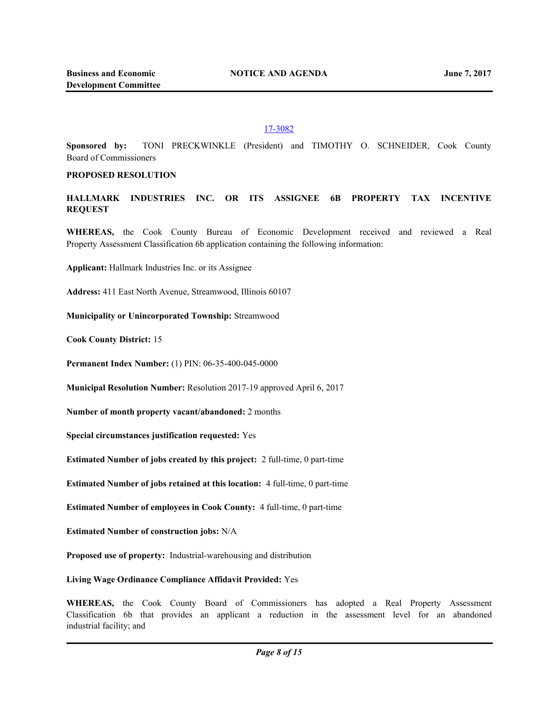### 17-3082

**Sponsored by:** TONI PRECKWINKLE (President) and TIMOTHY O. SCHNEIDER, Cook County Board of Commissioners

### **PROPOSED RESOLUTION**

**HALLMARK INDUSTRIES INC. OR ITS ASSIGNEE 6B PROPERTY TAX INCENTIVE REQUEST** 

**WHEREAS,** the Cook County Bureau of Economic Development received and reviewed a Real Property Assessment Classification 6b application containing the following information:

**Applicant:** Hallmark Industries Inc. or its Assignee

**Address:** 411 East North Avenue, Streamwood, Illinois 60107

**Municipality or Unincorporated Township:** Streamwood

**Cook County District:** 15

**Permanent Index Number:** (1) PIN: 06-35-400-045-0000

**Municipal Resolution Number:** Resolution 2017-19 approved April 6, 2017

**Number of month property vacant/abandoned:** 2 months

**Special circumstances justification requested:** Yes

**Estimated Number of jobs created by this project:** 2 full-time, 0 part-time

**Estimated Number of jobs retained at this location:** 4 full-time, 0 part-time

**Estimated Number of employees in Cook County:** 4 full-time, 0 part-time

**Estimated Number of construction jobs:** N/A

**Proposed use of property:** Industrial-warehousing and distribution

**Living Wage Ordinance Compliance Affidavit Provided:** Yes

**WHEREAS,** the Cook County Board of Commissioners has adopted a Real Property Assessment Classification 6b that provides an applicant a reduction in the assessment level for an abandoned industrial facility; and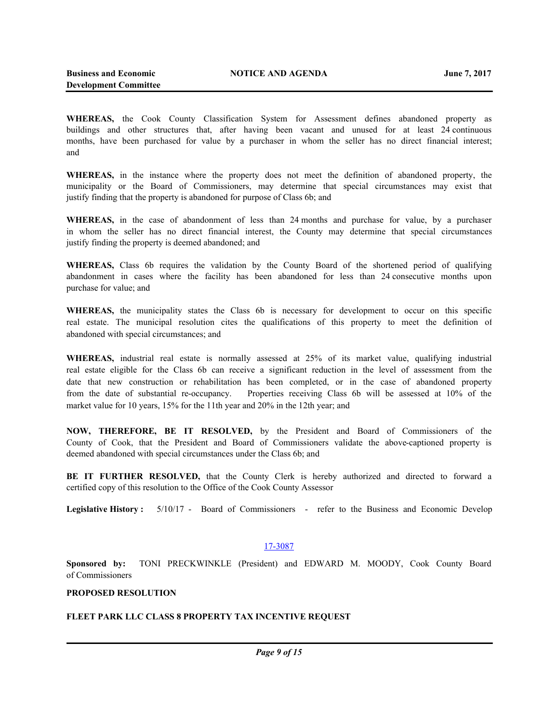**WHEREAS,** the Cook County Classification System for Assessment defines abandoned property as buildings and other structures that, after having been vacant and unused for at least 24 continuous months, have been purchased for value by a purchaser in whom the seller has no direct financial interest; and

**WHEREAS,** in the instance where the property does not meet the definition of abandoned property, the municipality or the Board of Commissioners, may determine that special circumstances may exist that justify finding that the property is abandoned for purpose of Class 6b; and

**WHEREAS,** in the case of abandonment of less than 24 months and purchase for value, by a purchaser in whom the seller has no direct financial interest, the County may determine that special circumstances justify finding the property is deemed abandoned; and

**WHEREAS,** Class 6b requires the validation by the County Board of the shortened period of qualifying abandonment in cases where the facility has been abandoned for less than 24 consecutive months upon purchase for value; and

**WHEREAS,** the municipality states the Class 6b is necessary for development to occur on this specific real estate. The municipal resolution cites the qualifications of this property to meet the definition of abandoned with special circumstances; and

**WHEREAS,** industrial real estate is normally assessed at 25% of its market value, qualifying industrial real estate eligible for the Class 6b can receive a significant reduction in the level of assessment from the date that new construction or rehabilitation has been completed, or in the case of abandoned property from the date of substantial re-occupancy. Properties receiving Class 6b will be assessed at 10% of the market value for 10 years, 15% for the 11th year and 20% in the 12th year; and

**NOW, THEREFORE, BE IT RESOLVED,** by the President and Board of Commissioners of the County of Cook, that the President and Board of Commissioners validate the above-captioned property is deemed abandoned with special circumstances under the Class 6b; and

**BE IT FURTHER RESOLVED,** that the County Clerk is hereby authorized and directed to forward a certified copy of this resolution to the Office of the Cook County Assessor

**Legislative History :** 5/10/17 - Board of Commissioners - refer to the Business and Economic Develop

### 17-3087

**Sponsored by:** TONI PRECKWINKLE (President) and EDWARD M. MOODY, Cook County Board of Commissioners

### **PROPOSED RESOLUTION**

# **FLEET PARK LLC CLASS 8 PROPERTY TAX INCENTIVE REQUEST**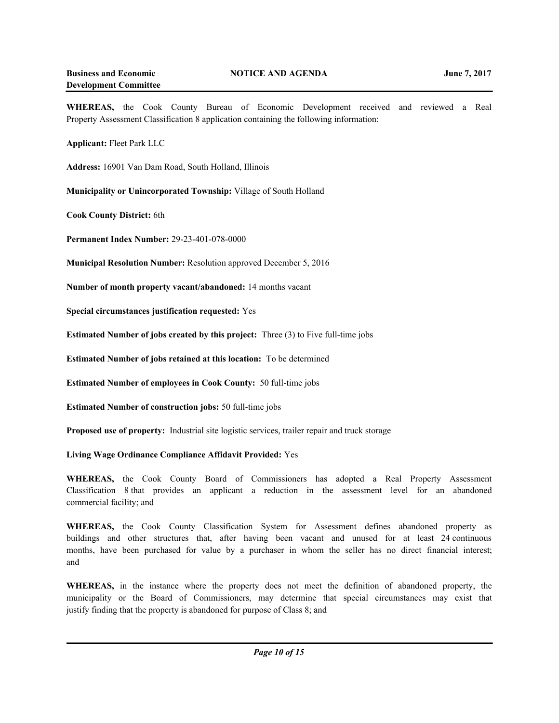**WHEREAS,** the Cook County Bureau of Economic Development received and reviewed a Real Property Assessment Classification 8 application containing the following information:

**Applicant:** Fleet Park LLC

**Address:** 16901 Van Dam Road, South Holland, Illinois

**Municipality or Unincorporated Township:** Village of South Holland

**Cook County District:** 6th

**Permanent Index Number:** 29-23-401-078-0000

**Municipal Resolution Number:** Resolution approved December 5, 2016

**Number of month property vacant/abandoned:** 14 months vacant

**Special circumstances justification requested:** Yes

**Estimated Number of jobs created by this project:** Three (3) to Five full-time jobs

**Estimated Number of jobs retained at this location:** To be determined

**Estimated Number of employees in Cook County:** 50 full-time jobs

**Estimated Number of construction jobs:** 50 full-time jobs

**Proposed use of property:** Industrial site logistic services, trailer repair and truck storage

**Living Wage Ordinance Compliance Affidavit Provided:** Yes

**WHEREAS,** the Cook County Board of Commissioners has adopted a Real Property Assessment Classification 8 that provides an applicant a reduction in the assessment level for an abandoned commercial facility; and

**WHEREAS,** the Cook County Classification System for Assessment defines abandoned property as buildings and other structures that, after having been vacant and unused for at least 24 continuous months, have been purchased for value by a purchaser in whom the seller has no direct financial interest; and

**WHEREAS,** in the instance where the property does not meet the definition of abandoned property, the municipality or the Board of Commissioners, may determine that special circumstances may exist that justify finding that the property is abandoned for purpose of Class 8; and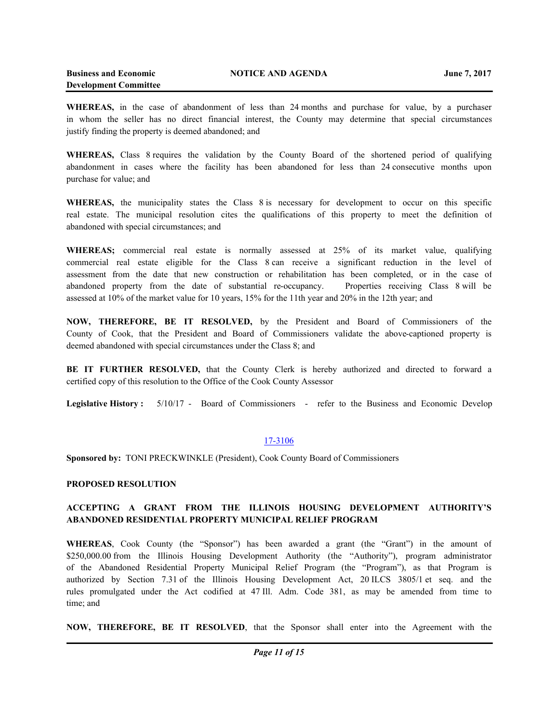**WHEREAS,** in the case of abandonment of less than 24 months and purchase for value, by a purchaser in whom the seller has no direct financial interest, the County may determine that special circumstances justify finding the property is deemed abandoned; and

**WHEREAS,** Class 8 requires the validation by the County Board of the shortened period of qualifying abandonment in cases where the facility has been abandoned for less than 24 consecutive months upon purchase for value; and

**WHEREAS,** the municipality states the Class 8 is necessary for development to occur on this specific real estate. The municipal resolution cites the qualifications of this property to meet the definition of abandoned with special circumstances; and

**WHEREAS;** commercial real estate is normally assessed at 25% of its market value, qualifying commercial real estate eligible for the Class 8 can receive a significant reduction in the level of assessment from the date that new construction or rehabilitation has been completed, or in the case of abandoned property from the date of substantial re-occupancy. Properties receiving Class 8 will be assessed at 10% of the market value for 10 years, 15% for the 11th year and 20% in the 12th year; and

**NOW, THEREFORE, BE IT RESOLVED,** by the President and Board of Commissioners of the County of Cook, that the President and Board of Commissioners validate the above-captioned property is deemed abandoned with special circumstances under the Class 8; and

**BE IT FURTHER RESOLVED,** that the County Clerk is hereby authorized and directed to forward a certified copy of this resolution to the Office of the Cook County Assessor

**Legislative History :** 5/10/17 - Board of Commissioners - refer to the Business and Economic Develop

#### 17-3106

**Sponsored by:** TONI PRECKWINKLE (President), Cook County Board of Commissioners

#### **PROPOSED RESOLUTION**

# **ACCEPTING A GRANT FROM THE ILLINOIS HOUSING DEVELOPMENT AUTHORITY'S ABANDONED RESIDENTIAL PROPERTY MUNICIPAL RELIEF PROGRAM**

**WHEREAS**, Cook County (the "Sponsor") has been awarded a grant (the "Grant") in the amount of \$250,000.00 from the Illinois Housing Development Authority (the "Authority"), program administrator of the Abandoned Residential Property Municipal Relief Program (the "Program"), as that Program is authorized by Section 7.31 of the Illinois Housing Development Act, 20 ILCS 3805/1 et seq. and the rules promulgated under the Act codified at 47 Ill. Adm. Code 381, as may be amended from time to time; and

**NOW, THEREFORE, BE IT RESOLVED**, that the Sponsor shall enter into the Agreement with the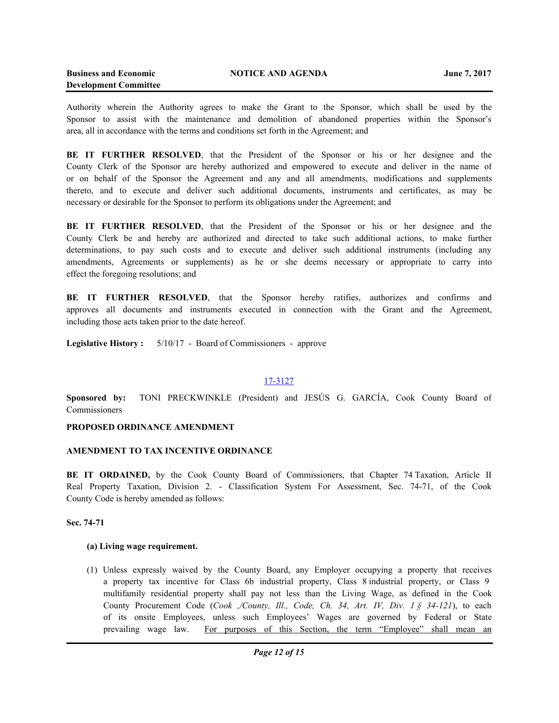Authority wherein the Authority agrees to make the Grant to the Sponsor, which shall be used by the Sponsor to assist with the maintenance and demolition of abandoned properties within the Sponsor's area, all in accordance with the terms and conditions set forth in the Agreement; and

**BE IT FURTHER RESOLVED**, that the President of the Sponsor or his or her designee and the County Clerk of the Sponsor are hereby authorized and empowered to execute and deliver in the name of or on behalf of the Sponsor the Agreement and any and all amendments, modifications and supplements thereto, and to execute and deliver such additional documents, instruments and certificates, as may be necessary or desirable for the Sponsor to perform its obligations under the Agreement; and

**BE IT FURTHER RESOLVED**, that the President of the Sponsor or his or her designee and the County Clerk be and hereby are authorized and directed to take such additional actions, to make further determinations, to pay such costs and to execute and deliver such additional instruments (including any amendments, Agreements or supplements) as he or she deems necessary or appropriate to carry into effect the foregoing resolutions; and

**BE IT FURTHER RESOLVED**, that the Sponsor hereby ratifies, authorizes and confirms and approves all documents and instruments executed in connection with the Grant and the Agreement, including those acts taken prior to the date hereof.

**Legislative History :** 5/10/17 - Board of Commissioners - approve

#### 17-3127

**Sponsored by:** TONI PRECKWINKLE (President) and JESÚS G. GARCÍA, Cook County Board of **Commissioners** 

#### **PROPOSED ORDINANCE AMENDMENT**

#### **AMENDMENT TO TAX INCENTIVE ORDINANCE**

**BE IT ORDAINED,** by the Cook County Board of Commissioners, that Chapter 74 Taxation, Article II Real Property Taxation, Division 2. - Classification System For Assessment, Sec. 74-71, of the Cook County Code is hereby amended as follows:

### **Sec. 74-71**

#### **(a) Living wage requirement.**

(1) Unless expressly waived by the County Board, any Employer occupying a property that receives a property tax incentive for Class 6b industrial property, Class 8 industrial property, or Class 9 multifamily residential property shall pay not less than the Living Wage, as defined in the Cook County Procurement Code (*Cook ,/County, Ill., Code, Ch. 34, Art. IV, Div. 1 § 34-121*), to each of its onsite Employees, unless such Employees' Wages are governed by Federal or State prevailing wage law. For purposes of this Section, the term "Employee" shall mean an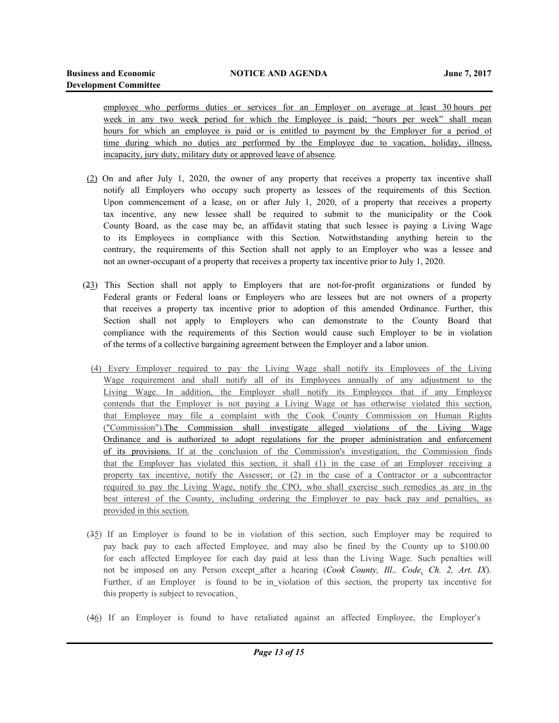employee who performs duties or services for an Employer on average at least 30 hours per week in any two week period for which the Employee is paid; "hours per week" shall mean hours for which an employee is paid or is entitled to payment by the Employer for a period of time during which no duties are performed by the Employee due to vacation, holiday, illness, incapacity, jury duty, military duty or approved leave of absence.

- (2) On and after July 1, 2020, the owner of any property that receives a property tax incentive shall notify all Employers who occupy such property as lessees of the requirements of this Section. Upon commencement of a lease, on or after July 1, 2020, of a property that receives a property tax incentive, any new lessee shall be required to submit to the municipality or the Cook County Board, as the case may be, an affidavit stating that such lessee is paying a Living Wage to its Employees in compliance with this Section. Notwithstanding anything herein to the contrary, the requirements of this Section shall not apply to an Employer who was a lessee and not an owner-occupant of a property that receives a property tax incentive prior to July 1, 2020.
- (23) This Section shall not apply to Employers that are not-for-profit organizations or funded by Federal grants or Federal loans or Employers who are lessees but are not owners of a property that receives a property tax incentive prior to adoption of this amended Ordinance. Further, this Section shall not apply to Employers who can demonstrate to the County Board that compliance with the requirements of this Section would cause such Employer to be in violation of the terms of a collective bargaining agreement between the Employer and a labor union.
	- (4) Every Employer required to pay the Living Wage shall notify its Employees of the Living Wage requirement and shall notify all of its Employees annually of any adjustment to the Living Wage. In addition, the Employer shall notify its Employees that if any Employee contends that the Employer is not paying a Living Wage or has otherwise violated this section, that Employee may file a complaint with the Cook County Commission on Human Rights ("Commission").The Commission shall investigate alleged violations of the Living Wage Ordinance and is authorized to adopt regulations for the proper administration and enforcement of its provisions. If at the conclusion of the Commission's investigation, the Commission finds that the Employer has violated this section, it shall (1) in the case of an Employer receiving a property tax incentive, notify the Assessor; or (2) in the case of a Contractor or a subcontractor required to pay the Living Wage, notify the CPO, who shall exercise such remedies as are in the best interest of the County, including ordering the Employer to pay back pay and penalties, as provided in this section.
- (35) If an Employer is found to be in violation of this section, such Employer may be required to pay back pay to each affected Employee, and may also be fined by the County up to \$100.00 for each affected Employee for each day paid at less than the Living Wage. Such penalties will not be imposed on any Person except after a hearing (*Cook County, Ill., Code, Ch. 2, Art. IX*). Further, if an Employer is found to be in violation of this section, the property tax incentive for this property is subject to revocation.
- (46) If an Employer is found to have retaliated against an affected Employee, the Employer's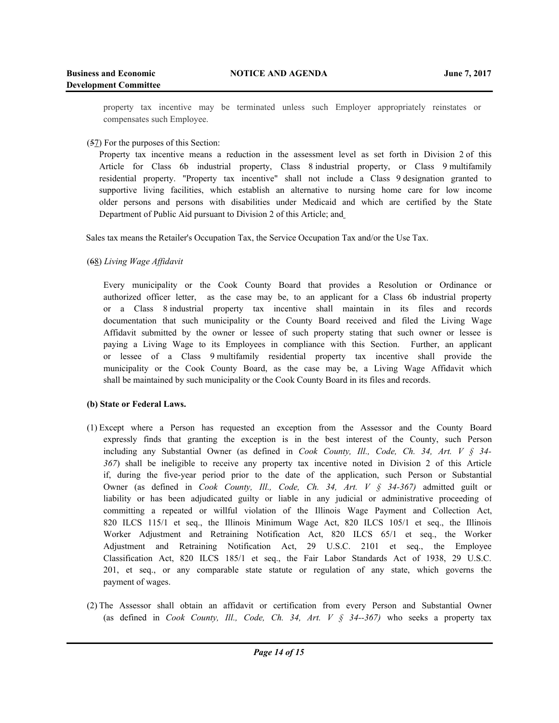property tax incentive may be terminated unless such Employer appropriately reinstates or compensates such Employee.

# (57) For the purposes of this Section:

Property tax incentive means a reduction in the assessment level as set forth in Division 2 of this Article for Class 6b industrial property, Class 8 industrial property, or Class 9 multifamily residential property. "Property tax incentive" shall not include a Class 9 designation granted to supportive living facilities, which establish an alternative to nursing home care for low income older persons and persons with disabilities under Medicaid and which are certified by the State Department of Public Aid pursuant to Division 2 of this Article; and

Sales tax means the Retailer's Occupation Tax, the Service Occupation Tax and/or the Use Tax.

(68) *Living Wage Affidavit*

Every municipality or the Cook County Board that provides a Resolution or Ordinance or authorized officer letter, as the case may be, to an applicant for a Class 6b industrial property or a Class 8 industrial property tax incentive shall maintain in its files and records documentation that such municipality or the County Board received and filed the Living Wage Affidavit submitted by the owner or lessee of such property stating that such owner or lessee is paying a Living Wage to its Employees in compliance with this Section. Further, an applicant or lessee of a Class 9 multifamily residential property tax incentive shall provide the municipality or the Cook County Board, as the case may be, a Living Wage Affidavit which shall be maintained by such municipality or the Cook County Board in its files and records.

# **(b) State or Federal Laws.**

- (1) Except where a Person has requested an exception from the Assessor and the County Board expressly finds that granting the exception is in the best interest of the County, such Person including any Substantial Owner (as defined in *Cook County, Ill., Code, Ch. 34, Art. V § 34- 367*) shall be ineligible to receive any property tax incentive noted in Division 2 of this Article if, during the five-year period prior to the date of the application, such Person or Substantial Owner (as defined in *Cook County, Ill., Code, Ch. 34, Art. V § 34-367)* admitted guilt or liability or has been adjudicated guilty or liable in any judicial or administrative proceeding of committing a repeated or willful violation of the Illinois Wage Payment and Collection Act, 820 ILCS 115/1 et seq., the Illinois Minimum Wage Act, 820 ILCS 105/1 et seq., the Illinois Worker Adjustment and Retraining Notification Act, 820 ILCS 65/1 et seq., the Worker Adjustment and Retraining Notification Act, 29 U.S.C. 2101 et seq., the Employee Classification Act, 820 ILCS 185/1 et seq., the Fair Labor Standards Act of 1938, 29 U.S.C. 201, et seq., or any comparable state statute or regulation of any state, which governs the payment of wages.
- (2) The Assessor shall obtain an affidavit or certification from every Person and Substantial Owner (as defined in *Cook County, Ill., Code, Ch. 34, Art. V § 34--367)* who seeks a property tax